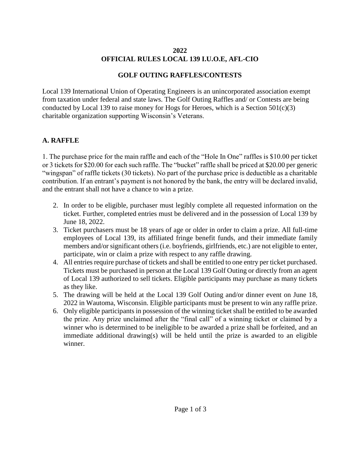### **2022 OFFICIAL RULES LOCAL 139 I.U.O.E, AFL-CIO**

## **GOLF OUTING RAFFLES/CONTESTS**

Local 139 International Union of Operating Engineers is an unincorporated association exempt from taxation under federal and state laws. The Golf Outing Raffles and/ or Contests are being conducted by Local 139 to raise money for Hogs for Heroes, which is a Section  $501(c)(3)$ charitable organization supporting Wisconsin's Veterans.

## **A. RAFFLE**

1. The purchase price for the main raffle and each of the "Hole In One" raffles is \$10.00 per ticket or 3 tickets for \$20.00 for each such raffle. The "bucket" raffle shall be priced at \$20.00 per generic "wingspan" of raffle tickets (30 tickets). No part of the purchase price is deductible as a charitable contribution. If an entrant's payment is not honored by the bank, the entry will be declared invalid, and the entrant shall not have a chance to win a prize.

- 2. In order to be eligible, purchaser must legibly complete all requested information on the ticket. Further, completed entries must be delivered and in the possession of Local 139 by June 18, 2022.
- 3. Ticket purchasers must be 18 years of age or older in order to claim a prize. All full-time employees of Local 139, its affiliated fringe benefit funds, and their immediate family members and/or significant others (i.e. boyfriends, girlfriends, etc.) are not eligible to enter, participate, win or claim a prize with respect to any raffle drawing.
- 4. All entries require purchase of tickets and shall be entitled to one entry per ticket purchased. Tickets must be purchased in person at the Local 139 Golf Outing or directly from an agent of Local 139 authorized to sell tickets. Eligible participants may purchase as many tickets as they like.
- 5. The drawing will be held at the Local 139 Golf Outing and/or dinner event on June 18, 2022 in Wautoma, Wisconsin. Eligible participants must be present to win any raffle prize.
- 6. Only eligible participants in possession of the winning ticket shall be entitled to be awarded the prize. Any prize unclaimed after the "final call" of a winning ticket or claimed by a winner who is determined to be ineligible to be awarded a prize shall be forfeited, and an immediate additional drawing(s) will be held until the prize is awarded to an eligible winner.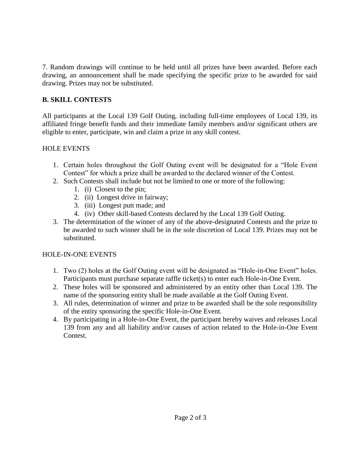7. Random drawings will continue to be held until all prizes have been awarded. Before each drawing, an announcement shall be made specifying the specific prize to be awarded for said drawing. Prizes may not be substituted.

## **B. SKILL CONTESTS**

All participants at the Local 139 Golf Outing, including full-time employees of Local 139, its affiliated fringe benefit funds and their immediate family members and/or significant others are eligible to enter, participate, win and claim a prize in any skill contest.

## HOLE EVENTS

- 1. Certain holes throughout the Golf Outing event will be designated for a "Hole Event Contest" for which a prize shall be awarded to the declared winner of the Contest.
- 2. Such Contests shall include but not be limited to one or more of the following:
	- 1. (i) Closest to the pin;
	- 2. (ii) Longest drive in fairway;
	- 3. (iii) Longest putt made; and
	- 4. (iv) Other skill-based Contests declared by the Local 139 Golf Outing.
- 3. The determination of the winner of any of the above-designated Contests and the prize to be awarded to such winner shall be in the sole discretion of Local 139. Prizes may not be substituted.

# HOLE-IN-ONE EVENTS

- 1. Two (2) holes at the Golf Outing event will be designated as "Hole-in-One Event" holes. Participants must purchase separate raffle ticket(s) to enter each Hole-in-One Event.
- 2. These holes will be sponsored and administered by an entity other than Local 139. The name of the sponsoring entity shall be made available at the Golf Outing Event.
- 3. All rules, determination of winner and prize to be awarded shall be the sole responsibility of the entity sponsoring the specific Hole-in-One Event.
- 4. By participating in a Hole-in-One Event, the participant hereby waives and releases Local 139 from any and all liability and/or causes of action related to the Hole-in-One Event Contest.